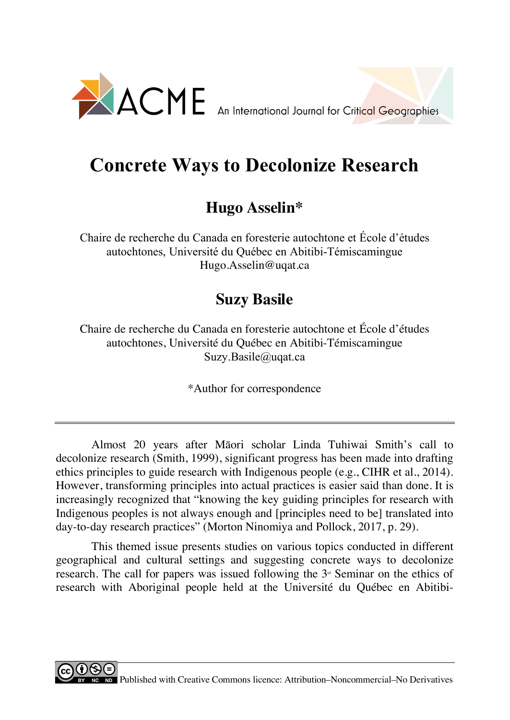

## **Concrete Ways to Decolonize Research**

## **Hugo Asselin\***

Chaire de recherche du Canada en foresterie autochtone et École d'études autochtones, Université du Québec en Abitibi-Témiscamingue Hugo.Asselin@uqat.ca

## **Suzy Basile**

Chaire de recherche du Canada en foresterie autochtone et École d'études autochtones, Université du Québec en Abitibi-Témiscamingue Suzy.Basile@uqat.ca

\*Author for correspondence

Almost 20 years after Māori scholar Linda Tuhiwai Smith's call to decolonize research (Smith, 1999), significant progress has been made into drafting ethics principles to guide research with Indigenous people (e.g., CIHR et al., 2014). However, transforming principles into actual practices is easier said than done. It is increasingly recognized that "knowing the key guiding principles for research with Indigenous peoples is not always enough and [principles need to be] translated into day-to-day research practices" (Morton Ninomiya and Pollock, 2017, p. 29).

This themed issue presents studies on various topics conducted in different geographical and cultural settings and suggesting concrete ways to decolonize research. The call for papers was issued following the  $3<sup>d</sup>$  Seminar on the ethics of research with Aboriginal people held at the Université du Québec en Abitibi-

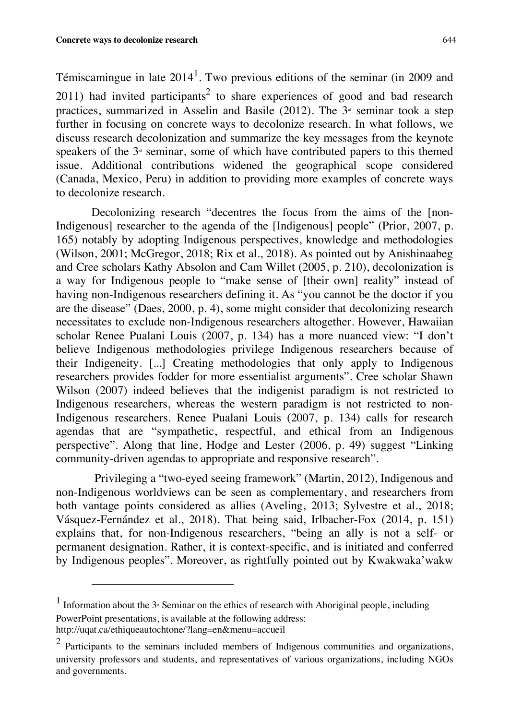Témiscamingue in late  $2014<sup>1</sup>$ . Two previous editions of the seminar (in 2009 and 2011) had invited participants<sup>2</sup> to share experiences of good and bad research practices, summarized in Asselin and Basile (2012). The  $3<sup>d</sup>$  seminar took a step further in focusing on concrete ways to decolonize research. In what follows, we discuss research decolonization and summarize the key messages from the keynote speakers of the  $3<sup>d</sup>$  seminar, some of which have contributed papers to this themed issue. Additional contributions widened the geographical scope considered (Canada, Mexico, Peru) in addition to providing more examples of concrete ways to decolonize research.

Decolonizing research "decentres the focus from the aims of the [non-Indigenous] researcher to the agenda of the [Indigenous] people" (Prior, 2007, p. 165) notably by adopting Indigenous perspectives, knowledge and methodologies (Wilson, 2001; McGregor, 2018; Rix et al., 2018). As pointed out by Anishinaabeg and Cree scholars Kathy Absolon and Cam Willet (2005, p. 210), decolonization is a way for Indigenous people to "make sense of [their own] reality" instead of having non-Indigenous researchers defining it. As "you cannot be the doctor if you are the disease" (Daes, 2000, p. 4), some might consider that decolonizing research necessitates to exclude non-Indigenous researchers altogether. However, Hawaiian scholar Renee Pualani Louis (2007, p. 134) has a more nuanced view: "I don't believe Indigenous methodologies privilege Indigenous researchers because of their Indigeneity. [...] Creating methodologies that only apply to Indigenous researchers provides fodder for more essentialist arguments". Cree scholar Shawn Wilson (2007) indeed believes that the indigenist paradigm is not restricted to Indigenous researchers, whereas the western paradigm is not restricted to non-Indigenous researchers. Renee Pualani Louis (2007, p. 134) calls for research agendas that are "sympathetic, respectful, and ethical from an Indigenous perspective". Along that line, Hodge and Lester (2006, p. 49) suggest "Linking community-driven agendas to appropriate and responsive research".

Privileging a "two-eyed seeing framework" (Martin, 2012), Indigenous and non-Indigenous worldviews can be seen as complementary, and researchers from both vantage points considered as allies (Aveling, 2013; Sylvestre et al., 2018; Vásquez-Fernández et al., 2018). That being said, Irlbacher-Fox (2014, p. 151) explains that, for non-Indigenous researchers, "being an ally is not a self- or permanent designation. Rather, it is context-specific, and is initiated and conferred by Indigenous peoples". Moreover, as rightfully pointed out by Kwakwaka'wakw

 $\overline{a}$ 

<sup>&</sup>lt;sup>1</sup> Information about the  $3<sup>a</sup>$  Seminar on the ethics of research with Aboriginal people, including PowerPoint presentations, is available at the following address:

http://uqat.ca/ethiqueautochtone/?lang=en&menu=accueil

<sup>&</sup>lt;sup>2</sup> Participants to the seminars included members of Indigenous communities and organizations, university professors and students, and representatives of various organizations, including NGOs and governments.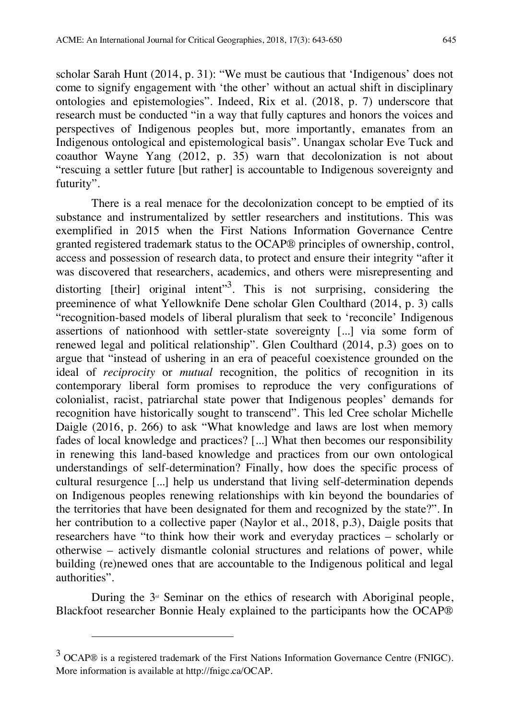scholar Sarah Hunt (2014, p. 31): "We must be cautious that 'Indigenous' does not come to signify engagement with 'the other' without an actual shift in disciplinary ontologies and epistemologies". Indeed, Rix et al. (2018, p. 7) underscore that research must be conducted "in a way that fully captures and honors the voices and perspectives of Indigenous peoples but, more importantly, emanates from an Indigenous ontological and epistemological basis". Unangax scholar Eve Tuck and coauthor Wayne Yang (2012, p. 35) warn that decolonization is not about "rescuing a settler future [but rather] is accountable to Indigenous sovereignty and futurity".

There is a real menace for the decolonization concept to be emptied of its substance and instrumentalized by settler researchers and institutions. This was exemplified in 2015 when the First Nations Information Governance Centre granted registered trademark status to the OCAP® principles of ownership, control, access and possession of research data, to protect and ensure their integrity "after it was discovered that researchers, academics, and others were misrepresenting and distorting [their] original intent"<sup>3</sup>. This is not surprising, considering the preeminence of what Yellowknife Dene scholar Glen Coulthard (2014, p. 3) calls "recognition-based models of liberal pluralism that seek to 'reconcile' Indigenous assertions of nationhood with settler-state sovereignty [...] via some form of renewed legal and political relationship". Glen Coulthard (2014, p.3) goes on to argue that "instead of ushering in an era of peaceful coexistence grounded on the ideal of *reciprocity* or *mutual* recognition, the politics of recognition in its contemporary liberal form promises to reproduce the very configurations of colonialist, racist, patriarchal state power that Indigenous peoples' demands for recognition have historically sought to transcend". This led Cree scholar Michelle Daigle (2016, p. 266) to ask "What knowledge and laws are lost when memory fades of local knowledge and practices? [...] What then becomes our responsibility in renewing this land-based knowledge and practices from our own ontological understandings of self-determination? Finally, how does the specific process of cultural resurgence [...] help us understand that living self-determination depends on Indigenous peoples renewing relationships with kin beyond the boundaries of the territories that have been designated for them and recognized by the state?". In her contribution to a collective paper (Naylor et al., 2018, p.3), Daigle posits that researchers have "to think how their work and everyday practices – scholarly or otherwise – actively dismantle colonial structures and relations of power, while building (re)newed ones that are accountable to the Indigenous political and legal authorities".

During the  $3<sup>d</sup>$  Seminar on the ethics of research with Aboriginal people, Blackfoot researcher Bonnie Healy explained to the participants how the OCAP®

l

 $3$  OCAP® is a registered trademark of the First Nations Information Governance Centre (FNIGC). More information is available at http://fnigc.ca/OCAP.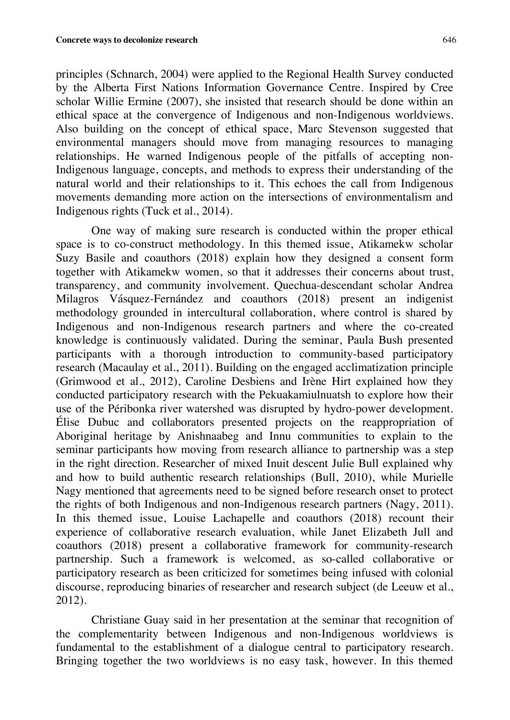principles (Schnarch, 2004) were applied to the Regional Health Survey conducted by the Alberta First Nations Information Governance Centre. Inspired by Cree scholar Willie Ermine (2007), she insisted that research should be done within an ethical space at the convergence of Indigenous and non-Indigenous worldviews. Also building on the concept of ethical space, Marc Stevenson suggested that environmental managers should move from managing resources to managing relationships. He warned Indigenous people of the pitfalls of accepting non-Indigenous language, concepts, and methods to express their understanding of the natural world and their relationships to it. This echoes the call from Indigenous movements demanding more action on the intersections of environmentalism and Indigenous rights (Tuck et al., 2014).

One way of making sure research is conducted within the proper ethical space is to co-construct methodology. In this themed issue, Atikamekw scholar Suzy Basile and coauthors (2018) explain how they designed a consent form together with Atikamekw women, so that it addresses their concerns about trust, transparency, and community involvement. Quechua-descendant scholar Andrea Milagros Vásquez-Fernández and coauthors (2018) present an indigenist methodology grounded in intercultural collaboration, where control is shared by Indigenous and non-Indigenous research partners and where the co-created knowledge is continuously validated. During the seminar, Paula Bush presented participants with a thorough introduction to community-based participatory research (Macaulay et al., 2011). Building on the engaged acclimatization principle (Grimwood et al., 2012), Caroline Desbiens and Irène Hirt explained how they conducted participatory research with the Pekuakamiulnuatsh to explore how their use of the Péribonka river watershed was disrupted by hydro-power development. Élise Dubuc and collaborators presented projects on the reappropriation of Aboriginal heritage by Anishnaabeg and Innu communities to explain to the seminar participants how moving from research alliance to partnership was a step in the right direction. Researcher of mixed Inuit descent Julie Bull explained why and how to build authentic research relationships (Bull, 2010), while Murielle Nagy mentioned that agreements need to be signed before research onset to protect the rights of both Indigenous and non-Indigenous research partners (Nagy, 2011). In this themed issue, Louise Lachapelle and coauthors (2018) recount their experience of collaborative research evaluation, while Janet Elizabeth Jull and coauthors (2018) present a collaborative framework for community-research partnership. Such a framework is welcomed, as so-called collaborative or participatory research as been criticized for sometimes being infused with colonial discourse, reproducing binaries of researcher and research subject (de Leeuw et al., 2012).

Christiane Guay said in her presentation at the seminar that recognition of the complementarity between Indigenous and non-Indigenous worldviews is fundamental to the establishment of a dialogue central to participatory research. Bringing together the two worldviews is no easy task, however. In this themed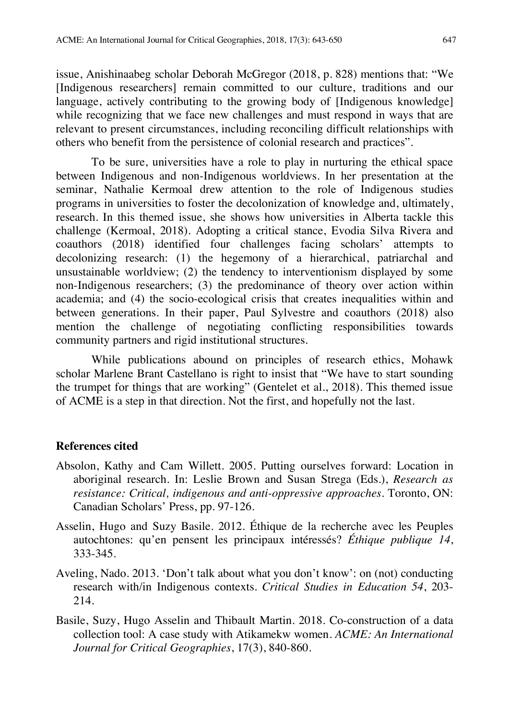issue, Anishinaabeg scholar Deborah McGregor (2018, p. 828) mentions that: "We [Indigenous researchers] remain committed to our culture, traditions and our language, actively contributing to the growing body of [Indigenous knowledge] while recognizing that we face new challenges and must respond in ways that are relevant to present circumstances, including reconciling difficult relationships with others who benefit from the persistence of colonial research and practices".

To be sure, universities have a role to play in nurturing the ethical space between Indigenous and non-Indigenous worldviews. In her presentation at the seminar, Nathalie Kermoal drew attention to the role of Indigenous studies programs in universities to foster the decolonization of knowledge and, ultimately, research. In this themed issue, she shows how universities in Alberta tackle this challenge (Kermoal, 2018). Adopting a critical stance, Evodia Silva Rivera and coauthors (2018) identified four challenges facing scholars' attempts to decolonizing research: (1) the hegemony of a hierarchical, patriarchal and unsustainable worldview; (2) the tendency to interventionism displayed by some non-Indigenous researchers; (3) the predominance of theory over action within academia; and (4) the socio-ecological crisis that creates inequalities within and between generations. In their paper, Paul Sylvestre and coauthors (2018) also mention the challenge of negotiating conflicting responsibilities towards community partners and rigid institutional structures.

While publications abound on principles of research ethics, Mohawk scholar Marlene Brant Castellano is right to insist that "We have to start sounding the trumpet for things that are working" (Gentelet et al., 2018). This themed issue of ACME is a step in that direction. Not the first, and hopefully not the last.

## **References cited**

- Absolon, Kathy and Cam Willett. 2005. Putting ourselves forward: Location in aboriginal research. In: Leslie Brown and Susan Strega (Eds.), *Research as resistance: Critical, indigenous and anti-oppressive approaches*. Toronto, ON: Canadian Scholars' Press, pp. 97-126.
- Asselin, Hugo and Suzy Basile. 2012. Éthique de la recherche avec les Peuples autochtones: qu'en pensent les principaux intéressés? *Éthique publique 14*, 333-345.
- Aveling, Nado. 2013. 'Don't talk about what you don't know': on (not) conducting research with/in Indigenous contexts. *Critical Studies in Education 54*, 203- 214.
- Basile, Suzy, Hugo Asselin and Thibault Martin. 2018. Co-construction of a data collection tool: A case study with Atikamekw women. *ACME: An International Journal for Critical Geographies*, 17(3), 840-860.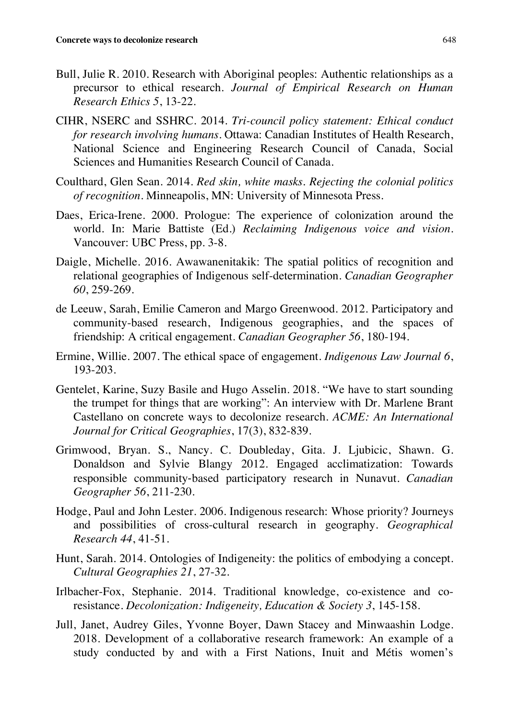- Bull, Julie R. 2010. Research with Aboriginal peoples: Authentic relationships as a precursor to ethical research. *Journal of Empirical Research on Human Research Ethics 5*, 13-22.
- CIHR, NSERC and SSHRC. 2014. *Tri-council policy statement: Ethical conduct for research involving humans*. Ottawa: Canadian Institutes of Health Research, National Science and Engineering Research Council of Canada, Social Sciences and Humanities Research Council of Canada.
- Coulthard, Glen Sean. 2014. *Red skin, white masks. Rejecting the colonial politics of recognition*. Minneapolis, MN: University of Minnesota Press.
- Daes, Erica-Irene. 2000. Prologue: The experience of colonization around the world. In: Marie Battiste (Ed.) *Reclaiming Indigenous voice and vision*. Vancouver: UBC Press, pp. 3-8.
- Daigle, Michelle. 2016. Awawanenitakik: The spatial politics of recognition and relational geographies of Indigenous self-determination. *Canadian Geographer 60*, 259-269.
- de Leeuw, Sarah, Emilie Cameron and Margo Greenwood. 2012. Participatory and community-based research, Indigenous geographies, and the spaces of friendship: A critical engagement. *Canadian Geographer 56*, 180-194.
- Ermine, Willie. 2007. The ethical space of engagement. *Indigenous Law Journal 6*, 193-203.
- Gentelet, Karine, Suzy Basile and Hugo Asselin. 2018. "We have to start sounding the trumpet for things that are working": An interview with Dr. Marlene Brant Castellano on concrete ways to decolonize research. *ACME: An International Journal for Critical Geographies*, 17(3), 832-839.
- Grimwood, Bryan. S., Nancy. C. Doubleday, Gita. J. Ljubicic, Shawn. G. Donaldson and Sylvie Blangy 2012. Engaged acclimatization: Towards responsible community-based participatory research in Nunavut. *Canadian Geographer 56*, 211-230.
- Hodge, Paul and John Lester. 2006. Indigenous research: Whose priority? Journeys and possibilities of cross-cultural research in geography. *Geographical Research 44*, 41-51.
- Hunt, Sarah. 2014. Ontologies of Indigeneity: the politics of embodying a concept. *Cultural Geographies 21*, 27-32.
- Irlbacher-Fox, Stephanie. 2014. Traditional knowledge, co-existence and coresistance. *Decolonization: Indigeneity, Education & Society 3*, 145-158.
- Jull, Janet, Audrey Giles, Yvonne Boyer, Dawn Stacey and Minwaashin Lodge. 2018. Development of a collaborative research framework: An example of a study conducted by and with a First Nations, Inuit and Métis women's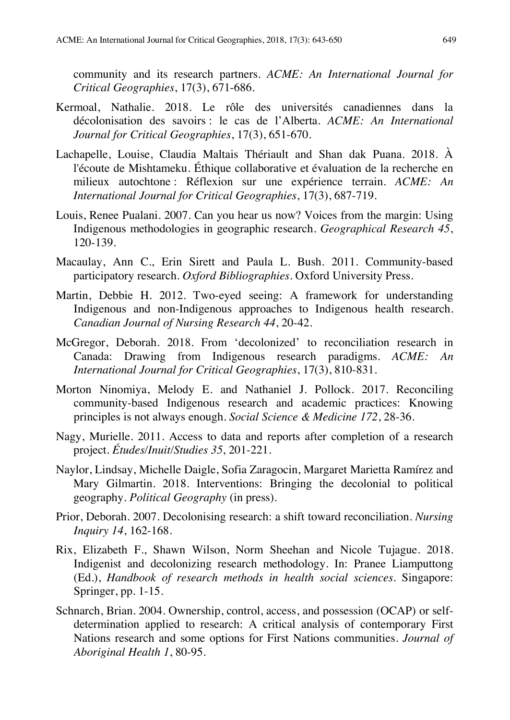community and its research partners. *ACME: An International Journal for Critical Geographies*, 17(3), 671-686.

- Kermoal, Nathalie. 2018. Le rôle des universités canadiennes dans la décolonisation des savoirs : le cas de l'Alberta. *ACME: An International Journal for Critical Geographies*, 17(3), 651-670.
- Lachapelle, Louise, Claudia Maltais Thériault and Shan dak Puana. 2018. À l'écoute de Mishtameku. Éthique collaborative et évaluation de la recherche en milieux autochtone : Réflexion sur une expérience terrain. *ACME: An International Journal for Critical Geographies*, 17(3), 687-719.
- Louis, Renee Pualani. 2007. Can you hear us now? Voices from the margin: Using Indigenous methodologies in geographic research. *Geographical Research 45*, 120-139.
- Macaulay, Ann C., Erin Sirett and Paula L. Bush. 2011. Community-based participatory research. *Oxford Bibliographies*. Oxford University Press.
- Martin, Debbie H. 2012. Two-eyed seeing: A framework for understanding Indigenous and non-Indigenous approaches to Indigenous health research. *Canadian Journal of Nursing Research 44*, 20-42.
- McGregor, Deborah. 2018. From 'decolonized' to reconciliation research in Canada: Drawing from Indigenous research paradigms. *ACME: An International Journal for Critical Geographies*, 17(3), 810-831.
- Morton Ninomiya, Melody E. and Nathaniel J. Pollock. 2017. Reconciling community-based Indigenous research and academic practices: Knowing principles is not always enough. *Social Science & Medicine 172*, 28-36.
- Nagy, Murielle. 2011. Access to data and reports after completion of a research project. *Études/Inuit/Studies 35*, 201-221.
- Naylor, Lindsay, Michelle Daigle, Sofia Zaragocin, Margaret Marietta Ramírez and Mary Gilmartin. 2018. Interventions: Bringing the decolonial to political geography. *Political Geography* (in press).
- Prior, Deborah. 2007. Decolonising research: a shift toward reconciliation. *Nursing Inquiry 14*, 162-168.
- Rix, Elizabeth F., Shawn Wilson, Norm Sheehan and Nicole Tujague. 2018. Indigenist and decolonizing research methodology. In: Pranee Liamputtong (Ed.), *Handbook of research methods in health social sciences*. Singapore: Springer, pp. 1-15.
- Schnarch, Brian. 2004. Ownership, control, access, and possession (OCAP) or selfdetermination applied to research: A critical analysis of contemporary First Nations research and some options for First Nations communities. *Journal of Aboriginal Health 1*, 80-95.